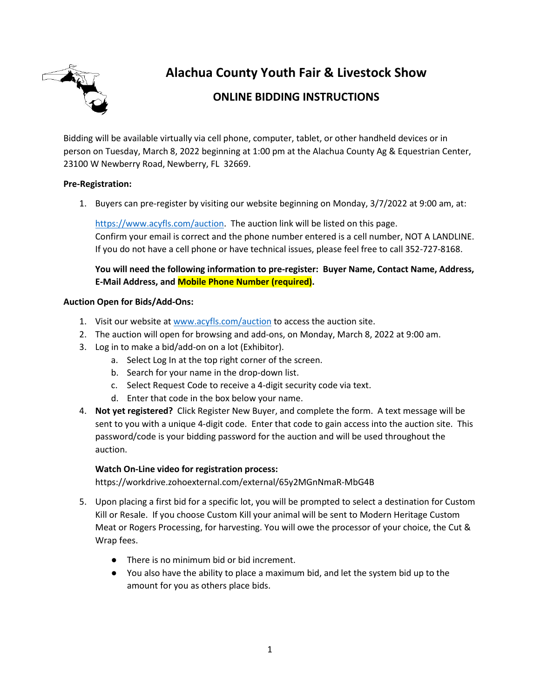

**Alachua County Youth Fair & Livestock Show**

# **ONLINE BIDDING INSTRUCTIONS**

Bidding will be available virtually via cell phone, computer, tablet, or other handheld devices or in person on Tuesday, March 8, 2022 beginning at 1:00 pm at the Alachua County Ag & Equestrian Center, 23100 W Newberry Road, Newberry, FL 32669.

# **Pre-Registration:**

1. Buyers can pre-register by visiting our website beginning on Monday, 3/7/2022 at 9:00 am, at:

[https://www.acyfls.com/auction.](https://www.acyfls.com/) The auction link will be listed on this page. Confirm your email is correct and the phone number entered is a cell number, NOT A LANDLINE. If you do not have a cell phone or have technical issues, please feel free to call 352-727-8168.

**You will need the following information to pre-register: Buyer Name, Contact Name, Address, E-Mail Address, and Mobile Phone Number (required).**

# **Auction Open for Bids/Add-Ons:**

- 1. Visit our website a[t www.acyfls.com/auction](http://www.acyfls.com/) to access the auction site.
- 2. The auction will open for browsing and add-ons, on Monday, March 8, 2022 at 9:00 am.
- 3. Log in to make a bid/add-on on a lot (Exhibitor).
	- a. Select Log In at the top right corner of the screen.
	- b. Search for your name in the drop-down list.
	- c. Select Request Code to receive a 4-digit security code via text.
	- d. Enter that code in the box below your name.
- 4. **Not yet registered?** Click Register New Buyer, and complete the form. A text message will be sent to you with a unique 4-digit code. Enter that code to gain access into the auction site. This password/code is your bidding password for the auction and will be used throughout the auction.

# **Watch On-Line video for registration process:**

https://workdrive.zohoexternal.com/external/65y2MGnNmaR-MbG4B

- 5. Upon placing a first bid for a specific lot, you will be prompted to select a destination for Custom Kill or Resale. If you choose Custom Kill your animal will be sent to Modern Heritage Custom Meat or Rogers Processing, for harvesting. You will owe the processor of your choice, the Cut & Wrap fees.
	- There is no minimum bid or bid increment.
	- You also have the ability to place a maximum bid, and let the system bid up to the amount for you as others place bids.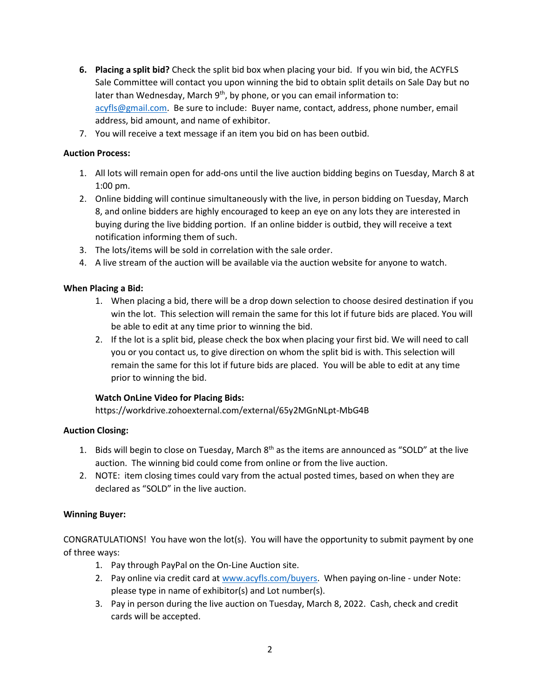- **6. Placing a split bid?** Check the split bid box when placing your bid. If you win bid, the ACYFLS Sale Committee will contact you upon winning the bid to obtain split details on Sale Day but no later than Wednesday, March 9<sup>th</sup>, by phone, or you can email information to: [acyfls@gmail.com.](mailto:acyfls@gmail.com) Be sure to include: Buyer name, contact, address, phone number, email address, bid amount, and name of exhibitor.
- 7. You will receive a text message if an item you bid on has been outbid.

# **Auction Process:**

- 1. All lots will remain open for add-ons until the live auction bidding begins on Tuesday, March 8 at 1:00 pm.
- 2. Online bidding will continue simultaneously with the live, in person bidding on Tuesday, March 8, and online bidders are highly encouraged to keep an eye on any lots they are interested in buying during the live bidding portion. If an online bidder is outbid, they will receive a text notification informing them of such.
- 3. The lots/items will be sold in correlation with the sale order.
- 4. A live stream of the auction will be available via the auction website for anyone to watch.

# **When Placing a Bid:**

- 1. When placing a bid, there will be a drop down selection to choose desired destination if you win the lot. This selection will remain the same for this lot if future bids are placed. You will be able to edit at any time prior to winning the bid.
- 2. If the lot is a split bid, please check the box when placing your first bid. We will need to call you or you contact us, to give direction on whom the split bid is with. This selection will remain the same for this lot if future bids are placed. You will be able to edit at any time prior to winning the bid.

# **Watch OnLine Video for Placing Bids:**

https://workdrive.zohoexternal.com/external/65y2MGnNLpt-MbG4B

# **Auction Closing:**

- 1. Bids will begin to close on Tuesday, March  $8<sup>th</sup>$  as the items are announced as "SOLD" at the live auction. The winning bid could come from online or from the live auction.
- 2. NOTE: item closing times could vary from the actual posted times, based on when they are declared as "SOLD" in the live auction.

# **Winning Buyer:**

CONGRATULATIONS! You have won the lot(s). You will have the opportunity to submit payment by one of three ways:

- 1. Pay through PayPal on the On-Line Auction site.
- 2. Pay online via credit card at [www.acyfls.com/buyers.](http://www.acyfls.com/buyers) When paying on-line under Note: please type in name of exhibitor(s) and Lot number(s).
- 3. Pay in person during the live auction on Tuesday, March 8, 2022. Cash, check and credit cards will be accepted.